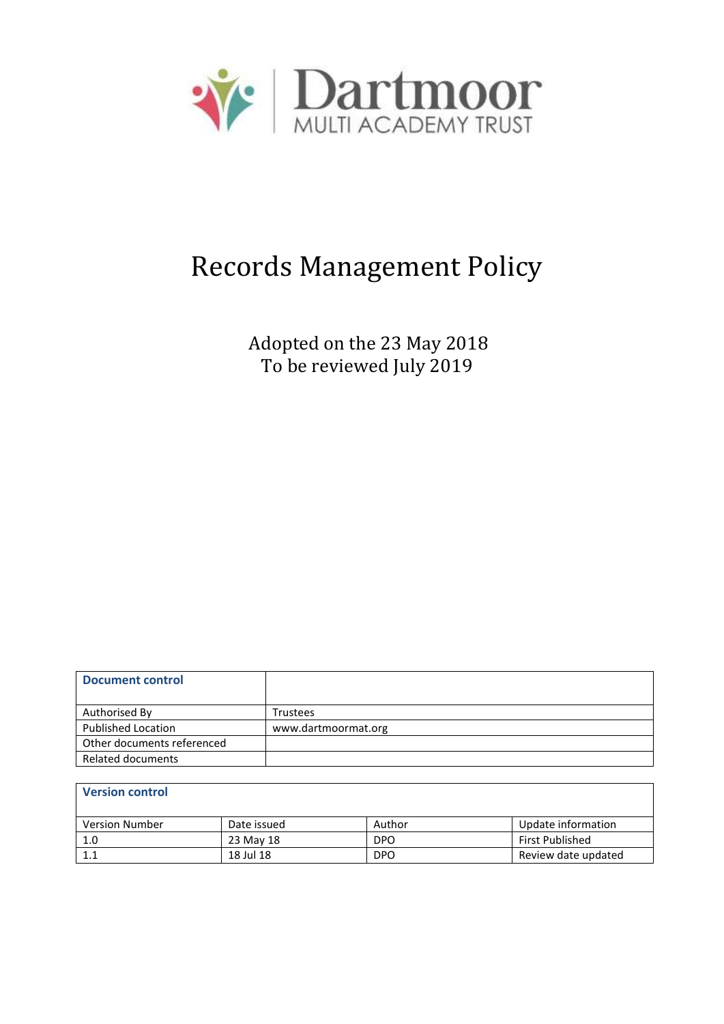

# Records Management Policy

Adopted on the 23 May 2018 To be reviewed July 2019

| Document control           |                     |
|----------------------------|---------------------|
| Authorised By              | Trustees            |
| <b>Published Location</b>  | www.dartmoormat.org |
| Other documents referenced |                     |
| Related documents          |                     |

| <b>Version control</b> |             |            |                        |  |  |
|------------------------|-------------|------------|------------------------|--|--|
| <b>Version Number</b>  | Date issued | Author     | Update information     |  |  |
| 1.0                    | 23 May 18   | <b>DPO</b> | <b>First Published</b> |  |  |
| 1.1                    | 18 Jul 18   | <b>DPO</b> | Review date updated    |  |  |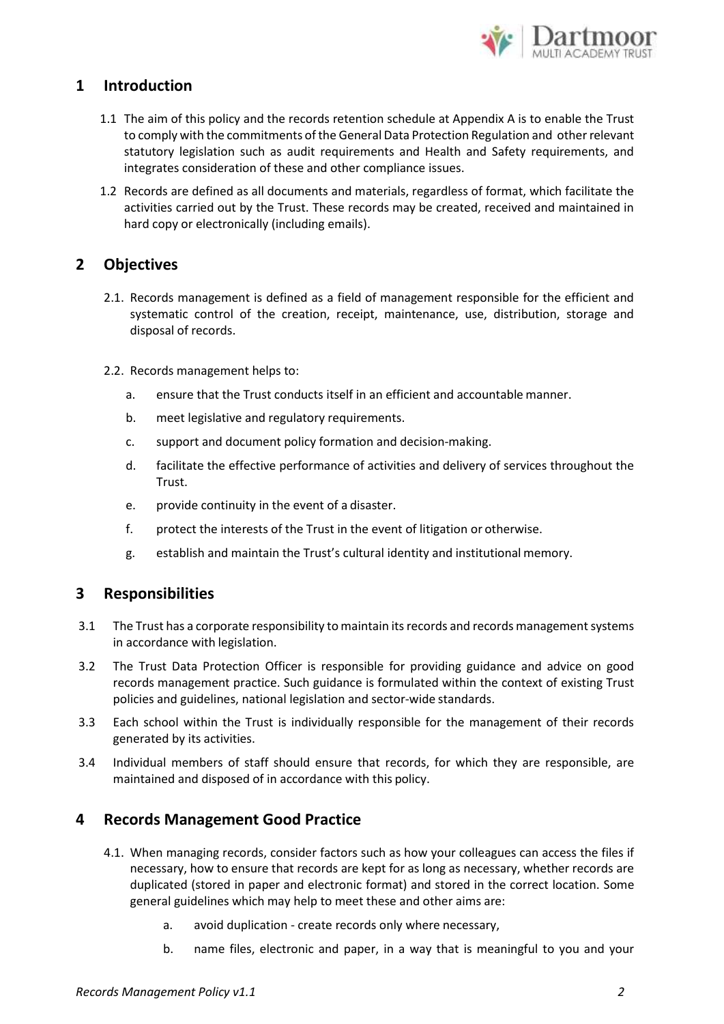

## **1 Introduction**

- 1.1 The aim of this policy and the records retention schedule at Appendix A is to enable the Trust to comply with the commitments of the General Data Protection Regulation and other relevant statutory legislation such as audit requirements and Health and Safety requirements, and integrates consideration of these and other compliance issues.
- 1.2 Records are defined as all documents and materials, regardless of format, which facilitate the activities carried out by the Trust. These records may be created, received and maintained in hard copy or electronically (including emails).

## **2 Objectives**

- 2.1. Records management is defined as a field of management responsible for the efficient and systematic control of the creation, receipt, maintenance, use, distribution, storage and disposal of records.
- 2.2. Records management helps to:
	- a. ensure that the Trust conducts itself in an efficient and accountable manner.
	- b. meet legislative and regulatory requirements.
	- c. support and document policy formation and decision-making.
	- d. facilitate the effective performance of activities and delivery of services throughout the Trust.
	- e. provide continuity in the event of a disaster.
	- f. protect the interests of the Trust in the event of litigation or otherwise.
	- g. establish and maintain the Trust's cultural identity and institutional memory.

#### **3 Responsibilities**

- 3.1 The Trust has a corporate responsibility to maintain its records and records management systems in accordance with legislation.
- 3.2 The Trust Data Protection Officer is responsible for providing guidance and advice on good records management practice. Such guidance is formulated within the context of existing Trust policies and guidelines, national legislation and sector-wide standards.
- 3.3 Each school within the Trust is individually responsible for the management of their records generated by its activities.
- 3.4 Individual members of staff should ensure that records, for which they are responsible, are maintained and disposed of in accordance with this policy.

#### **4 Records Management Good Practice**

- 4.1. When managing records, consider factors such as how your colleagues can access the files if necessary, how to ensure that records are kept for as long as necessary, whether records are duplicated (stored in paper and electronic format) and stored in the correct location. Some general guidelines which may help to meet these and other aims are:
	- a. avoid duplication create records only where necessary,
	- b. name files, electronic and paper, in a way that is meaningful to you and your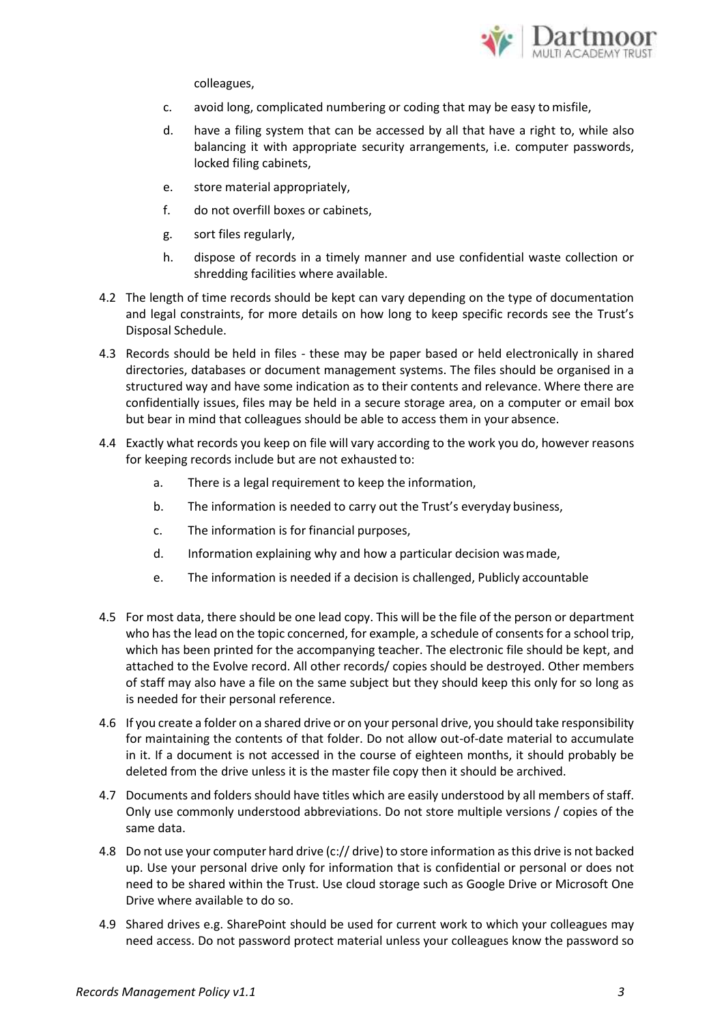

colleagues,

- c. avoid long, complicated numbering or coding that may be easy to misfile,
- d. have a filing system that can be accessed by all that have a right to, while also balancing it with appropriate security arrangements, i.e. computer passwords, locked filing cabinets,
- e. store material appropriately,
- f. do not overfill boxes or cabinets,
- g. sort files regularly,
- h. dispose of records in a timely manner and use confidential waste collection or shredding facilities where available.
- 4.2 The length of time records should be kept can vary depending on the type of documentation and legal constraints, for more details on how long to keep specific records see the Trust's Disposal Schedule.
- 4.3 Records should be held in files these may be paper based or held electronically in shared directories, databases or document management systems. The files should be organised in a structured way and have some indication as to their contents and relevance. Where there are confidentially issues, files may be held in a secure storage area, on a computer or email box but bear in mind that colleagues should be able to access them in your absence.
- 4.4 Exactly what records you keep on file will vary according to the work you do, however reasons for keeping records include but are not exhausted to:
	- a. There is a legal requirement to keep the information,
	- b. The information is needed to carry out the Trust's everyday business,
	- c. The information is for financial purposes,
	- d. Information explaining why and how a particular decision wasmade,
	- e. The information is needed if a decision is challenged, Publicly accountable
- 4.5 For most data, there should be one lead copy. This will be the file of the person or department who has the lead on the topic concerned, for example, a schedule of consents for a school trip, which has been printed for the accompanying teacher. The electronic file should be kept, and attached to the Evolve record. All other records/ copies should be destroyed. Other members of staff may also have a file on the same subject but they should keep this only for so long as is needed for their personal reference.
- 4.6 If you create a folder on a shared drive or on your personal drive, you should take responsibility for maintaining the contents of that folder. Do not allow out-of-date material to accumulate in it. If a document is not accessed in the course of eighteen months, it should probably be deleted from the drive unless it is the master file copy then it should be archived.
- 4.7 Documents and folders should have titles which are easily understood by all members of staff. Only use commonly understood abbreviations. Do not store multiple versions / copies of the same data.
- 4.8 Do not use your computer hard drive (c:// drive) to store information as this drive is not backed up. Use your personal drive only for information that is confidential or personal or does not need to be shared within the Trust. Use cloud storage such as Google Drive or Microsoft One Drive where available to do so.
- 4.9 Shared drives e.g. SharePoint should be used for current work to which your colleagues may need access. Do not password protect material unless your colleagues know the password so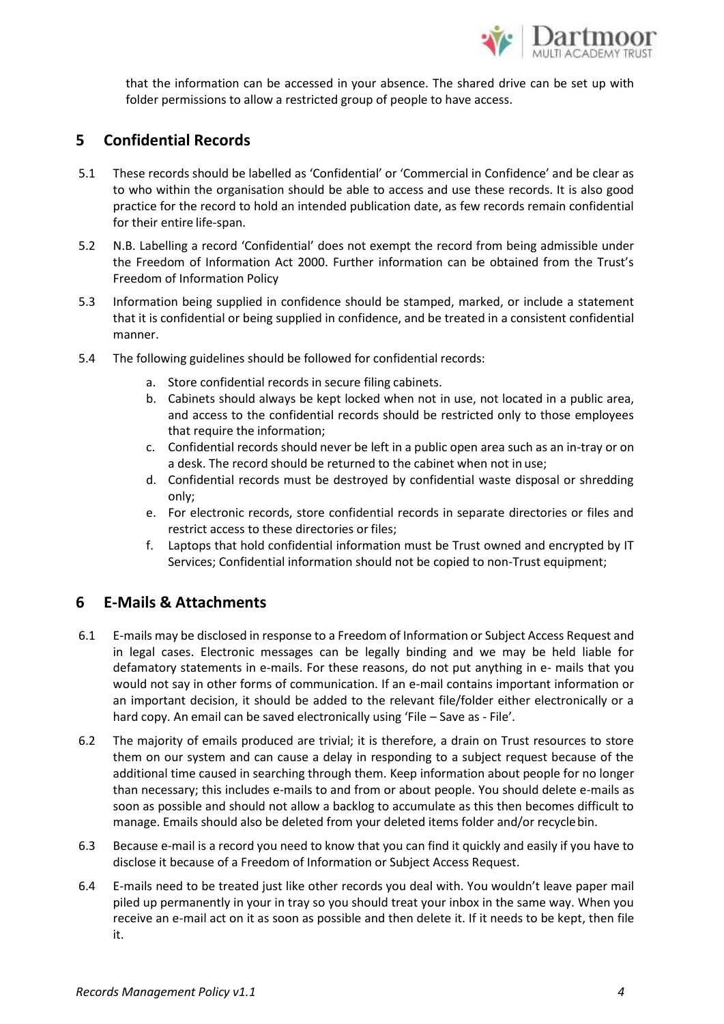

that the information can be accessed in your absence. The shared drive can be set up with folder permissions to allow a restricted group of people to have access.

## **5 Confidential Records**

- 5.1 These records should be labelled as 'Confidential' or 'Commercial in Confidence' and be clear as to who within the organisation should be able to access and use these records. It is also good practice for the record to hold an intended publication date, as few records remain confidential for their entire life-span.
- 5.2 N.B. Labelling a record 'Confidential' does not exempt the record from being admissible under the Freedom of Information Act 2000. Further information can be obtained from the Trust's Freedom of Information Policy
- 5.3 Information being supplied in confidence should be stamped, marked, or include a statement that it is confidential or being supplied in confidence, and be treated in a consistent confidential manner.
- 5.4 The following guidelines should be followed for confidential records:
	- a. Store confidential records in secure filing cabinets.
	- b. Cabinets should always be kept locked when not in use, not located in a public area, and access to the confidential records should be restricted only to those employees that require the information;
	- c. Confidential records should never be left in a public open area such as an in-tray or on a desk. The record should be returned to the cabinet when not in use;
	- d. Confidential records must be destroyed by confidential waste disposal or shredding only;
	- e. For electronic records, store confidential records in separate directories or files and restrict access to these directories or files;
	- f. Laptops that hold confidential information must be Trust owned and encrypted by IT Services; Confidential information should not be copied to non-Trust equipment;

## **6 E-Mails & Attachments**

- 6.1 E-mails may be disclosed in response to a Freedom of Information or Subject Access Request and in legal cases. Electronic messages can be legally binding and we may be held liable for defamatory statements in e-mails. For these reasons, do not put anything in e- mails that you would not say in other forms of communication. If an e-mail contains important information or an important decision, it should be added to the relevant file/folder either electronically or a hard copy. An email can be saved electronically using 'File – Save as - File'.
- 6.2 The majority of emails produced are trivial; it is therefore, a drain on Trust resources to store them on our system and can cause a delay in responding to a subject request because of the additional time caused in searching through them. Keep information about people for no longer than necessary; this includes e-mails to and from or about people. You should delete e-mails as soon as possible and should not allow a backlog to accumulate as this then becomes difficult to manage. Emails should also be deleted from your deleted items folder and/or recyclebin.
- 6.3 Because e-mail is a record you need to know that you can find it quickly and easily if you have to disclose it because of a Freedom of Information or Subject Access Request.
- 6.4 E-mails need to be treated just like other records you deal with. You wouldn't leave paper mail piled up permanently in your in tray so you should treat your inbox in the same way. When you receive an e-mail act on it as soon as possible and then delete it. If it needs to be kept, then file it.